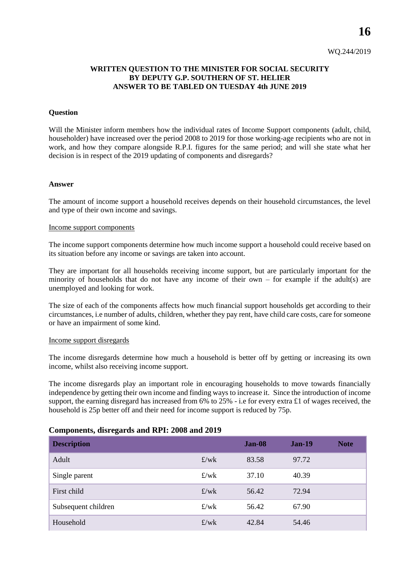**16**

# **WRITTEN QUESTION TO THE MINISTER FOR SOCIAL SECURITY BY DEPUTY G.P. SOUTHERN OF ST. HELIER ANSWER TO BE TABLED ON TUESDAY 4th JUNE 2019**

### **Question**

Will the Minister inform members how the individual rates of Income Support components (adult, child, householder) have increased over the period 2008 to 2019 for those working-age recipients who are not in work, and how they compare alongside R.P.I. figures for the same period; and will she state what her decision is in respect of the 2019 updating of components and disregards?

#### **Answer**

The amount of income support a household receives depends on their household circumstances, the level and type of their own income and savings.

### Income support components

The income support components determine how much income support a household could receive based on its situation before any income or savings are taken into account.

They are important for all households receiving income support, but are particularly important for the minority of households that do not have any income of their own – for example if the adult(s) are unemployed and looking for work.

The size of each of the components affects how much financial support households get according to their circumstances, i.e number of adults, children, whether they pay rent, have child care costs, care for someone or have an impairment of some kind.

#### Income support disregards

The income disregards determine how much a household is better off by getting or increasing its own income, whilst also receiving income support.

The income disregards play an important role in encouraging households to move towards financially independence by getting their own income and finding ways to increase it. Since the introduction of income support, the earning disregard has increased from 6% to 25% - i.e for every extra £1 of wages received, the household is 25p better off and their need for income support is reduced by 75p.

## **Components, disregards and RPI: 2008 and 2019**

| <b>Description</b>  |                      | <b>Jan-08</b> | $Jan-19$ | <b>Note</b> |
|---------------------|----------------------|---------------|----------|-------------|
| Adult               | $\frac{f}{w}$        | 83.58         | 97.72    |             |
| Single parent       | f/wk                 | 37.10         | 40.39    |             |
| First child         | f/wk                 | 56.42         | 72.94    |             |
| Subsequent children | $\text{£}/\text{wk}$ | 56.42         | 67.90    |             |
| Household           | $\frac{f}{w}$        | 42.84         | 54.46    |             |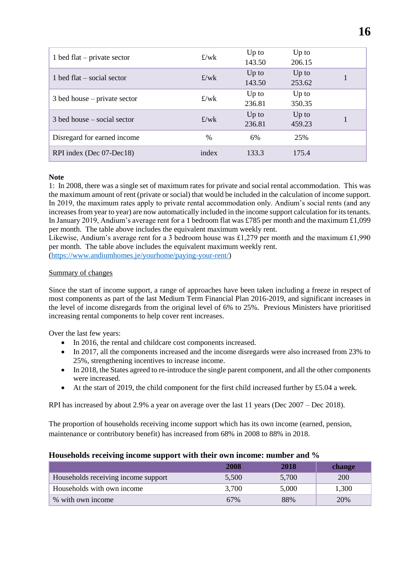|       | $Up$ to                      | $Up$ to |  |
|-------|------------------------------|---------|--|
|       | 143.50                       | 206.15  |  |
|       | $Up$ to                      | $Up$ to |  |
|       | 143.50                       | 253.62  |  |
|       | Up to                        | $Up$ to |  |
|       | 236.81                       | 350.35  |  |
|       | $Up$ to                      | $Up$ to |  |
|       | 236.81                       | 459.23  |  |
| $\%$  | 6%                           | 25%     |  |
|       |                              |         |  |
| index | 133.3                        | 175.4   |  |
|       | f/wk<br>f/wk<br>f/wk<br>f/wk |         |  |

## **Note**

1: In 2008, there was a single set of maximum rates for private and social rental accommodation. This was the maximum amount of rent (private or social) that would be included in the calculation of income support. In 2019, the maximum rates apply to private rental accommodation only. Andium's social rents (and any increases from year to year) are now automatically included in the income support calculation for its tenants. In January 2019, Andium's average rent for a 1 bedroom flat was £785 per month and the maximum £1,099 per month. The table above includes the equivalent maximum weekly rent.

Likewise, Andium's average rent for a 3 bedroom house was £1,279 per month and the maximum £1,990 per month. The table above includes the equivalent maximum weekly rent.

[\(https://www.andiumhomes.je/yourhome/paying-your-rent/\)](https://www.andiumhomes.je/yourhome/paying-your-rent/)

## Summary of changes

Since the start of income support, a range of approaches have been taken including a freeze in respect of most components as part of the last Medium Term Financial Plan 2016-2019, and significant increases in the level of income disregards from the original level of 6% to 25%. Previous Ministers have prioritised increasing rental components to help cover rent increases.

Over the last few years:

- In 2016, the rental and childcare cost components increased.
- In 2017, all the components increased and the income disregards were also increased from 23% to 25%, strengthening incentives to increase income.
- In 2018, the States agreed to re-introduce the single parent component, and all the other components were increased.
- At the start of 2019, the child component for the first child increased further by £5.04 a week.

RPI has increased by about 2.9% a year on average over the last 11 years (Dec 2007 – Dec 2018).

The proportion of households receiving income support which has its own income (earned, pension, maintenance or contributory benefit) has increased from 68% in 2008 to 88% in 2018.

# **Households receiving income support with their own income: number and %**

|                                     | 2008  | 2018  | <b>change</b> |
|-------------------------------------|-------|-------|---------------|
| Households receiving income support | 5,500 | 5,700 | 200           |
| Households with own income          | 3,700 | 5,000 | 1,300         |
| % with own income                   | 67%   | 88%   | 20%           |